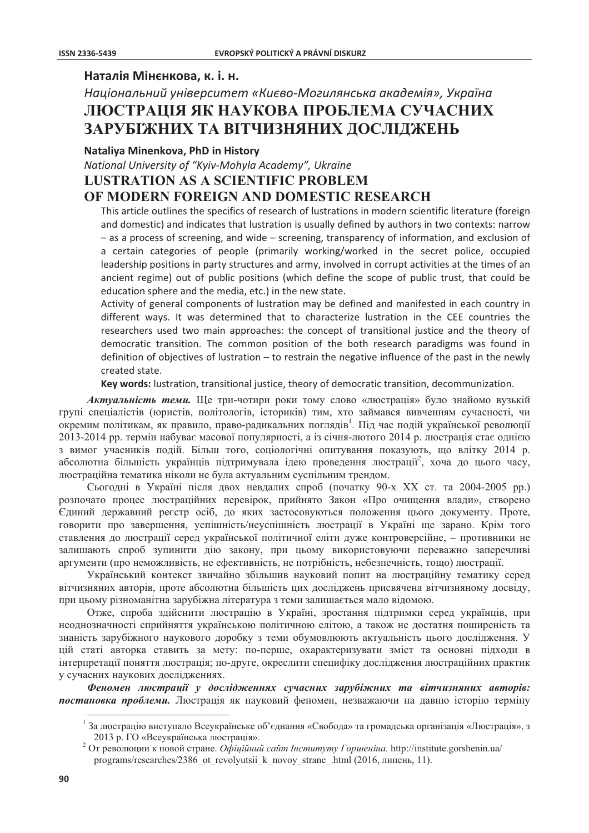## Наталія Мінєнкова, к. і. н.

# Національний університет «Києво-Могилянська академія», Україна ЛЮСТРАЦІЯ ЯК НАУКОВА ПРОБЛЕМА СУЧАСНИХ ЗАРУБІЖНИХ ТА ВІТЧИЗНЯНИХ ДОСЛІДЖЕНЬ

### Nataliya Minenkova, PhD in History

National University of "Kyiv-Mohyla Academy", Ukraine

## **LUSTRATION AS A SCIENTIFIC PROBLEM** OF MODERN FOREIGN AND DOMESTIC RESEARCH

This article outlines the specifics of research of lustrations in modern scientific literature (foreign and domestic) and indicates that lustration is usually defined by authors in two contexts: narrow - as a process of screening, and wide - screening, transparency of information, and exclusion of a certain categories of people (primarily working/worked in the secret police, occupied leadership positions in party structures and army, involved in corrupt activities at the times of an ancient regime) out of public positions (which define the scope of public trust, that could be education sphere and the media, etc.) in the new state.

Activity of general components of lustration may be defined and manifested in each country in different ways. It was determined that to characterize lustration in the CEE countries the researchers used two main approaches: the concept of transitional justice and the theory of democratic transition. The common position of the both research paradigms was found in definition of objectives of lustration – to restrain the negative influence of the past in the newly created state.

Key words: lustration, transitional justice, theory of democratic transition, decommunization.

Актуальність теми. Ще три-чотири роки тому слово «люстрація» було знайомо вузькій групі спеціалістів (юристів, політологів, істориків) тим, хто займався вивченням сучасності, чи окремим політикам, як правило, право-радикальних поглядів<sup>1</sup>. Під час подій української революції 2013-2014 рр. термін набуває масової популярності, а із січня-лютого 2014 р. люстрація стає однією з вимог учасників подій. Більш того, соціологічні опитування показують, що влітку 2014 р. абсолютна більшість українців підтримувала ідею проведення люстрації<sup>2</sup>, хоча до цього часу, люстраційна тематика ніколи не була актуальним суспільним трендом.

Сьогодні в Україні після двох невдалих спроб (початку 90-х XX ст. та 2004-2005 рр.) розпочато процес люстраційних перевірок, прийнято Закон «Про очищення влади», створено Єдиний державний реєстр осіб, до яких застосовуються положення цього документу. Проте, говорити про завершення, успішність/неуспішність люстрації в Україні ще зарано. Крім того ставлення до люстрації серед української політичної еліти дуже контроверсійне, - противники не залишають спроб зупинити дію закону, при цьому використовуючи переважно заперечливі аргументи (про неможливість, не ефективність, не потрібність, небезпечність, тощо) люстрації.

Український контекст звичайно збільшив науковий попит на люстраційну тематику серед вітчизняних авторів, проте абсолютна більшість цих досліджень присвячена вітчизняному досвіду, при цьому різноманітна зарубіжна література з теми залишається мало відомою.

Отже, спроба здійснити люстрацію в Україні, зростання підтримки серед українців, при неоднозначності сприйняття українською політичною елітою, а також не достатня поширеність та знаність зарубіжного наукового доробку з теми обумовлюють актуальність цього дослідження. У цій статі авторка ставить за мету: по-перше, охарактеризувати зміст та основні підходи в інтерпретації поняття люстрація; по-друге, окреслити специфіку дослідження люстраційних практик у сучасних наукових дослідженнях.

Феномен люстраий у дослідженнях сучасних зарубіжних та вітчизняних авторів: постановка проблеми. Люстрація як науковий феномен, незважаючи на давню історію терміну

 $^{-1}$ За люстрацію виступало Всеукраїнське об'єднання «Свобода» та громадська організація «Люстрація», з 2013 р. ГО «Всеукраїнська люстрація».

<sup>&</sup>lt;sup>2</sup> От революции к новой стране. Офіційний сайт Інституту Горшеніна. http://institute.gorshenin.ua/ programs/researches/2386 ot revolyutsii k novoy strane .html (2016, липень, 11).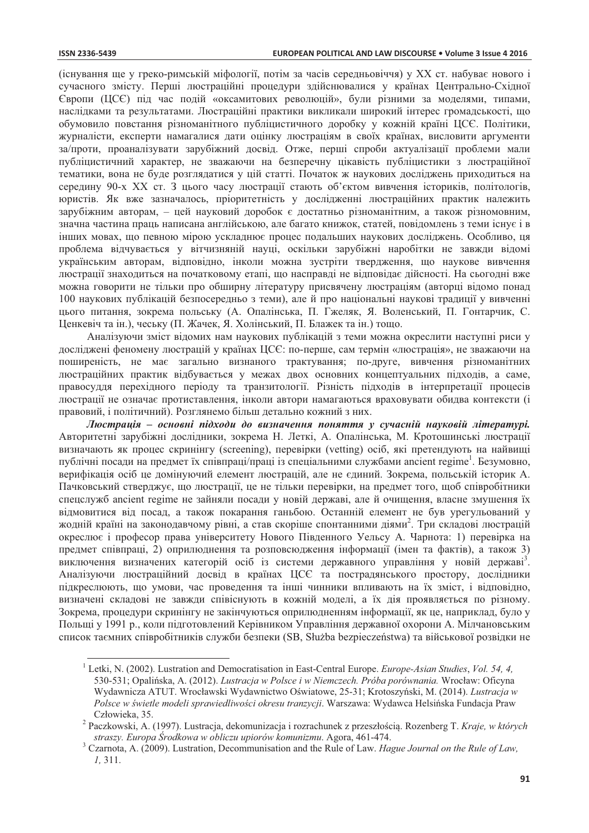(існування ше у греко-римській міфології, потім за часів середньовіччя) у XX ст. набуває нового і сучасного змісту. Перші люстраційні процедури здійснювалися у країнах Центрально-Східної Європи (ЦСЄ) під час подій «оксамитових революцій», були різними за моделями, типами, наслідками та результатами. Люстраційні практики викликали широкий інтерес громадськості, що обумовило повстання різноманітного публіцистичного доробку у кожній країні ЦСЄ. Політики, журналісти, експерти намагалися лати опінку люстраціям в своїх країнах, висловити аргументи за/проти, проаналізувати зарубіжний досвід. Отже, перші спроби актуалізації проблеми мали публіцистичний характер, не зважаючи на безперечну цікавість публіцистики з люстраційної тематики, вона не буде розглядатися у цій статті. Початок ж наукових досліджень приходиться на середину 90-х XX ст. З цього часу люстрації стають об'єктом вивчення істориків, політологів, юристів. Як вже зазначалось, пріоритетність у дослідженні люстраційних практик належить зарубіжним авторам, - цей науковий доробок є достатньо різноманітним, а також різномовним, значна частина праць написана англійською, але багато книжок, статей, повідомлень з теми існує і в інших мовах, що певною мірою ускладнює процес подальших наукових досліджень. Особливо, ця проблема відчувається у вітчизняній науці, оскільки зарубіжні наробітки не завжди відомі українським авторам, відповідно, інколи можна зустріти твердження, що наукове вивчення люстрації знаходиться на початковому етапі, що насправді не відповідає дійсності. На сьогодні вже можна говорити не тільки про обширну літературу присвячену люстраціям (авторці відомо понад 100 наукових публікацій безпосередньо з теми), але й про національні наукові традиції у вивченні цього питання, зокрема польську (А. Опалінська, П. Гжеляк, Я. Воленський, П. Гонтарчик. С. Ценкевіч та ін.), чеську (П. Жачек, Я. Холінський, П. Блажек та ін.) тощо.

Аналізуючи зміст відомих нам наукових публікацій з теми можна окреслити наступні риси у досліджені феномену люстрацій у країнах ЦСЄ: по-перше, сам термін «люстрація», не зважаючи на поширеність, не має загально визнаного трактування; по-друге, вивчення різноманітних люстраційних практик відбувається у межах двох основних концептуальних підходів, а саме, правосуддя перехідного періоду та транзитології. Різність підходів в інтерпретації процесів люстрації не означає протиставлення, інколи автори намагаються враховувати обидва контексти (і правовий, і політичний). Розглянемо більш детально кожний з них.

Люстрація – основні підходи до визначення поняття у сучасній науковій літературі. Авторитетні зарубіжні дослідники, зокрема Н. Леткі, А. Опалінська, М. Кротошинські люстрації визначають як процес скринінгу (screening), перевірки (vetting) осіб, які претендують на найвищі публічні посади на предмет їх співпраці/праці із спеціальними службами ancient regime<sup>1</sup>. Безумовно, верифікація осіб це домінуючий елемент люстрацій, але не єдиний. Зокрема, польській історик А. Пачковський стверджує, що люстрації, це не тільки перевірки, на предмет того, щоб співробітники спецслужб ancient regime не зайняли посади у новій державі, але й очищення, власне змушення їх відмовитися від посад, а також покарання ганьбою. Останній елемент не був урегульований у жодній країні на законодавчому рівні, а став скоріше спонтанними діями<sup>2</sup>. Три складові люстрацій окреслює і професор права університету Нового Південного Уельсу А. Чарнота: 1) перевірка на предмет співпраці. 2) оприлюднення та розповсюдження інформації (імен та фактів), а також 3) виключення визначених категорій осіб із системи державного управління у новій державі<sup>3</sup>. Аналізуючи люстраційний досвід в країнах ЦСЄ та пострадянського простору, дослідники підкреслюють, що умови, час проведення та інші чинники впливають на їх зміст, і відповідно, визначені складові не завжди співіснують в кожній моделі, а їх дія проявляється по різному. Зокрема, процедури скринінгу не закінчуються оприлюдненням інформації, як це, наприклад, було у Польщі у 1991 р., коли підготовлений Керівником Управління державної охорони А. Мілчановським список таємних співробітників служби безпеки (SB, Służba bezpieczeństwa) та військової розвідки не

<sup>&</sup>lt;sup>1</sup> Letki, N. (2002). Lustration and Democratisation in East-Central Europe. *Europe-Asian Studies*, *Vol.* 54, 4, 530-531; Opalińska, A. (2012). Lustracja w Polsce i w Niemczech. Próba porównania. Wrocław: Oficyna Wydawnicza ATUT. Wrocławski Wydawnictwo Oświatowe, 25-31; Krotoszyński, M. (2014). Lustracja w Polsce w świetle modeli sprawiedliwości okresu tranzycji. Warszawa: Wydawca Helsińska Fundacja Praw Człowieka, 35.

 $\overline{\mathbf{c}}$ Paczkowski, A. (1997). Lustracja, dekomunizacja i rozrachunek z przeszłością. Rozenberg T. Kraje, w których straszy. Europa Środkowa w obliczu upiorów komunizmu. Agora, 461-474.

 $3$  Czarnota, A. (2009). Lustration, Decommunisation and the Rule of Law. Hague Journal on the Rule of Law,  $1, 311.$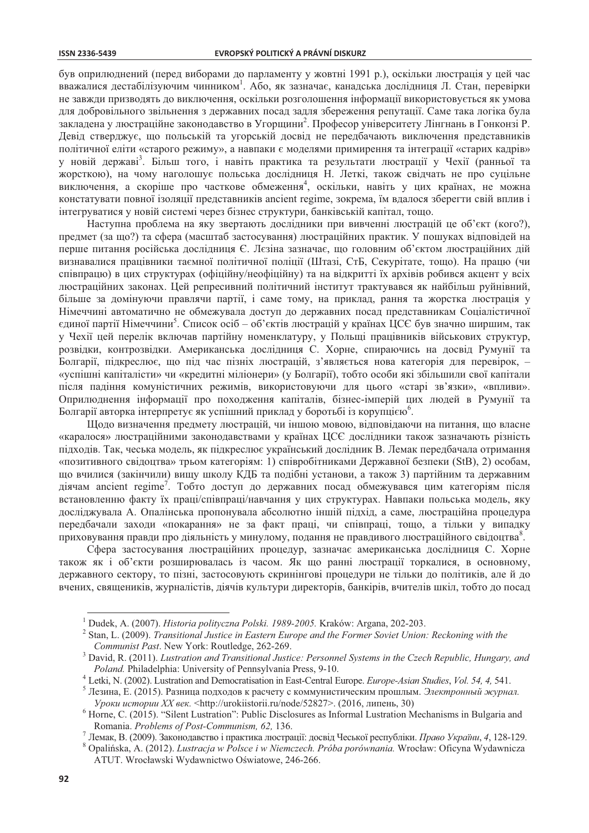#### **ISSN 2336-5439**

був оприлюднений (перед виборами до парламенту у жовтні 1991 р.), оскільки люстрація у цей час вважалися дестабілізуючим чинником<sup>1</sup>. Або, як зазначає, канадська дослідниця Л. Стан, перевірки не завжди призводять до виключення, оскільки розголошення інформації використовується як умова для добровільного звільнення з державних посад задля збереження репутації. Саме така логіка була закладена у люстраційне законодавство в Угорщини<sup>2</sup>. Професор університету Лінгнань в Гонконзі Р. Девід стверджує, що польській та угорській досвід не передбачають виключення представників політичної еліти «старого режиму», а навпаки є моделями примирення та інтеграції «старих кадрів» у новій державі<sup>3</sup>. Більш того, і навіть практика та результати люстрації у Чехії (ранньої та жорсткою), на чому наголошує польська дослідниця Н. Леткі, також свідчать не про суцільне виключення, а скоріше про часткове обмеження<sup>4</sup>, оскільки, навіть у цих країнах, не можна констатувати повної ізоляції представників ancient regime, зокрема, їм вдалося зберегти свій вплив і інтегруватися у новій системі через бізнес структури, банківській капітал, тошо.

Наступна проблема на яку звертають дослідники при вивченні люстрацій це об'єкт (кого?), предмет (за що?) та сфера (масштаб застосування) люстраційних практик. У пошуках відповідей на перше питання російська дослідниця Є. Лезіна зазначає, що головним об'єктом люстраційних дій визнавалися працівники таємної політичної поліції (Штазі, СтБ, Секурітате, тощо). На працю (чи співпрацю) в цих структурах (офіційну/неофіційну) та на відкритті їх архівів робився акцент у всіх люстраційних законах. Цей репресивний політичний інститут трактувався як найбільш руйнівний, більше за домінуючи правлячи партії, і саме тому, на приклад, рання та жорстка люстрація у Німеччині автоматично не обмежувала доступ до державних посад представникам Соціалістичної единої партії Німеччини<sup>5</sup>. Список осіб – об'єктів люстрацій у країнах ЦСЄ був значно ширшим, так у Чехії цей перелік включав партійну номенклатуру, у Польщі працівників військових структур, розвідки, контрозвідки. Американська дослідниця С. Хорне, спираючись на досвід Румунії та Болгарії, підкреслює, що під час пізніх люстрацій, з'являється нова категорія для перевірок, -«успішні капіталісти» чи «кредитні міліонери» (у Болгарії), тобто особи які збільшили свої капітали після падіння комуністичних режимів, використовуючи для цього «старі зв'язки», «впливи». Оприлюднення інформації про походження капіталів, бізнес-імперій цих людей в Румунії та Болгарії авторка інтерпретує як успішний приклад у боротьбі із корупцією<sup>6</sup>.

Щодо визначення предмету люстрацій, чи іншою мовою, відповідаючи на питання, що власне «каралося» люстраційними законодавствами у країнах ЦСЄ дослідники також зазначають різність підходів. Так, чеська модель, як підкреслює український дослідник В. Лемак передбачала отримання «позитивного свідоцтва» трьом категоріям: 1) співробітниками Державної безпеки (StB), 2) особам, що вчилися (закінчили) вищу школу КДБ та подібні установи, а також 3) партійним та державним діячам ancient regime<sup>7</sup>. Тобто доступ до державних посад обмежувався цим категоріям після встановленню факту їх праці/співпраці/навчання у цих структурах. Навпаки польська модель, яку досліджувала А. Опалінська пропонувала абсолютно іншій підхід, а саме, люстраційна процедура передбачали заходи «покарання» не за факт праці, чи співпраці, тощо, а тільки у випадку приховування правди про діяльність у минулому, подання не правдивого люстраційного свідоцтва<sup>8</sup>.

Сфера застосування люстраційних процедур, зазначає американська дослідниця С. Хорне також як і об'єкти розширювалась із часом. Як що ранні люстрації торкалися, в основному, державного сектору, то пізні, застосовують скринінгові процедури не тільки до політиків, але й до вчених, священиків, журналістів, діячів культури директорів, банкірів, вчителів шкіл, тобто до посад

 $1$  Dudek, A. (2007). Historia polityczna Polski. 1989-2005. Kraków: Argana, 202-203.

 $2$  Stan, L. (2009). Transitional Justice in Eastern Europe and the Former Soviet Union: Reckoning with the Communist Past. New York: Routledge, 262-269.

David, R. (2011). Lustration and Transitional Justice: Personnel Systems in the Czech Republic, Hungary, and *Poland.* Philadelphia: University of Pennsylvania Press, 9-10.

Letki, N. (2002). Lustration and Democratisation in East-Central Europe. Europe-Asian Studies, Vol. 54, 4, 541.

<sup>5</sup> Лезина, Е. (2015). Разница подходов к расчету с коммунистическим прошлым. Электронный журнал. Уроки истории XX век. <http://urokiistorii.ru/node/52827>. (2016, липень, 30)

 $6$  Horne, C. (2015). "Silent Lustration": Public Disclosures as Informal Lustration Mechanisms in Bulgaria and Romania. Problems of Post-Communism, 62, 136.

<sup>7</sup> Лемак, В. (2009). Законодавство і практика люстрації: досвід Чеської республіки. Право України, 4, 128-129.

<sup>8</sup> Opalińska, A. (2012). Lustracja w Polsce i w Niemczech. Próba porównania. Wrocław: Oficyna Wydawnicza ATUT. Wrocławski Wydawnictwo Oświatowe, 246-266.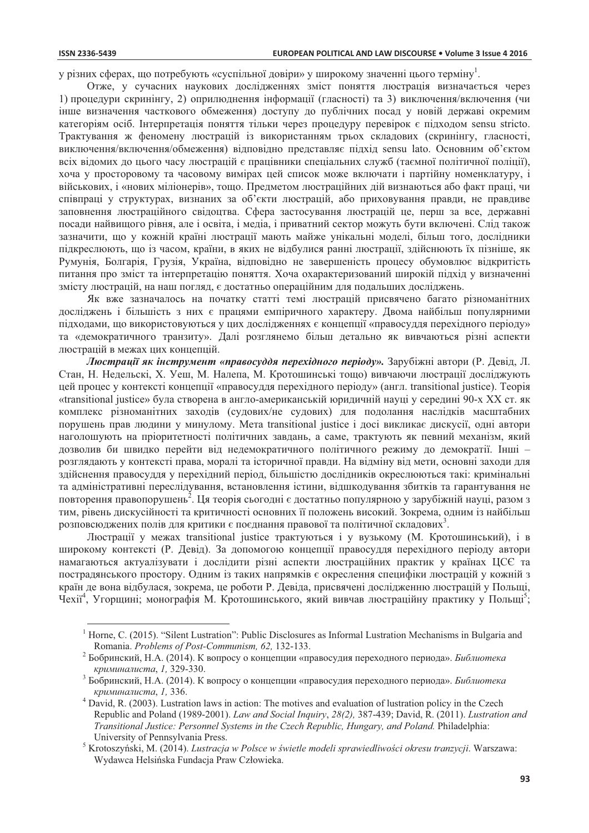у різних сферах, що потребують «суспільної довіри» у широкому значенні цього терміну<sup>1</sup>.

Отже, у сучасних наукових дослідженнях зміст поняття люстрація визначається через 1) процедури скринінгу, 2) оприлюднення інформації (гласності) та 3) виключення/включення (чи інше визначення часткового обмеження) доступу до публічних посад у новій державі окремим категоріям осіб. Інтерпретація поняття тільки через процедуру перевірок є підходом sensu stricto. Трактування ж феномену люстрацій із використанням трьох складових (скринінгу, гласності, виключення/включення/обмеження) відповідно представляє підхід sensu lato. Основним об'єктом всіх відомих до цього часу люстрацій є працівники спеціальних служб (таємної політичної поліції), хоча у просторовому та часовому вимірах цей список може включати і партійну номенклатуру, і військових, і «нових міліонерів», тощо. Предметом люстраційних дій визнаються або факт праці, чи співпраці у структурах, визнаних за об'єкти люстрацій, або приховування правди, не правдиве заповнення люстраційного свідоцтва. Сфера застосування люстрацій це, перш за все, державні посади найвищого рівня, але і освіта, і медіа, і приватний сектор можуть бути включені. Слід також зазначити, що у кожній країні люстрації мають майже унікальні моделі, більш того, дослідники підкреслюють, що із часом, країни, в яких не відбулися ранні люстрації, здійснюють їх пізніше, як Румунія, Болгарія, Грузія, Україна, відповідно не завершеність процесу обумовлює відкритість питання про зміст та інтерпретацію поняття. Хоча охарактеризований широкій підхід у визначенні змісту люстрацій, на наш погляд, є достатньо операційним для подальших досліджень.

Як вже зазначалось на початку статті темі люстрацій присвячено багато різноманітних досліджень і більшість з них є працями емпіричного характеру. Двома найбільш популярними підходами, що використовуються у цих дослідженнях є концепції «правосуддя перехідного періоду» та «демократичного транзиту». Далі розглянемо більш детально як вивчаються різні аспекти люстрацій в межах цих концепцій.

Люстрації як інструмент «правосуддя перехідного періоду». Зарубіжні автори (Р. Девід, Л. Стан, Н. Недельскі, Х. Уеш, М. Налепа, М. Кротошинські тощо) вивчаючи люстрації досліджують цей процес у контексті концепції «правосуддя перехідного періоду» (англ. transitional justice). Теорія «transitional justice» була створена в англо-американській юридичній науці у середині 90-х XX ст. як комплекс різноманітних заходів (судових/не судових) для подолання наслідків масштабних порушень прав людини у минулому. Mera transitional justice i досі викликає дискусії, одні автори наголошують на пріоритетності політичних завдань, а саме, трактують як певний механізм, який дозволив би швидко перейти від недемократичного політичного режиму до демократії. Інші розглядають у контексті права, моралі та історичної правди. На відміну від мети, основні заходи для здійснення правосуддя у перехідний період, більшістю дослідників окреслюються такі: кримінальні та адміністративні переслідування, встановлення істини, відшкодування збитків та гарантування не повторення правопорушень<sup>2</sup>. Ця теорія сьогодні є достатньо популярною у зарубіжній науці, разом з тим, рівень дискусійності та критичності основних її положень високий. Зокрема, одним із найбільш розповсюджених полів для критики є поєднання правової та політичної складових<sup>3</sup>.

Люстрації у межах transitional justice трактуються і у вузькому (М. Кротошинський), і в широкому контексті (Р. Девіл). За лопомогою концепції правосулля перехілного періолу автори намагаються актуалізувати і дослідити різні аспекти люстраційних практик у країнах ЦСЄ та пострадянського простору. Одним із таких напрямків є окреслення специфіки люстрацій у кожній з країн де вона відбулася, зокрема, це роботи Р. Девіда, присвячені дослідженню люстрацій у Польщі, Чехії<sup>4</sup>, Угорщині; монографія М. Кротошинського, який вивчав люстраційну практику у Польщі<sup>2</sup>;

<sup>&</sup>lt;sup>1</sup> Horne, C. (2015). "Silent Lustration": Public Disclosures as Informal Lustration Mechanisms in Bulgaria and Romania. Problems of Post-Communism, 62, 132-133.

Бобринский, Н.А. (2014). К вопросу о концепции «правосудия переходного периода». Библиотека криминалиста, 1, 329-330.

Бобринский, Н.А. (2014). К вопросу о концепции «правосудия переходного периода». Библиотека криминалиста, 1, 336.

David, R. (2003). Lustration laws in action: The motives and evaluation of lustration policy in the Czech Republic and Poland (1989-2001). Law and Social Inquiry, 28(2), 387-439; David, R. (2011). Lustration and Transitional Justice: Personnel Systems in the Czech Republic, Hungary, and Poland. Philadelphia: University of Pennsylvania Press.

Krotoszyński, M. (2014). Lustracja w Polsce w świetle modeli sprawiedliwości okresu tranzycji. Warszawa: Wydawca Helsińska Fundacja Praw Człowieka.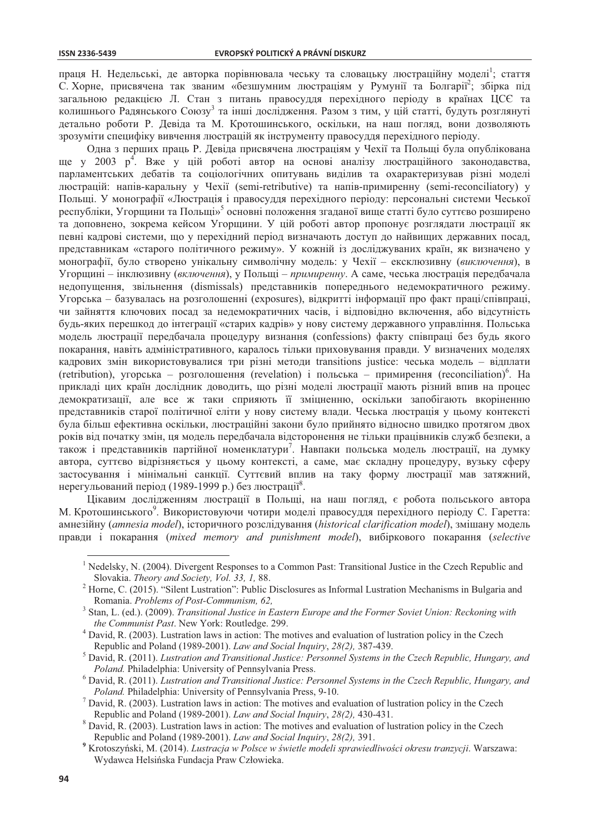праця Н. Недельські, де авторка порівнювала чеську та словацьку люстраційну моделі<sup>1</sup>: стаття С. Хорне, присвячена так званим «безшумним люстраціям у Румунії та Болгарії<sup>2</sup>; збірка під загальною редакцією Л. Стан з питань правосуддя перехідного періоду в країнах ЦСЄ та колишнього Радянського Союзу<sup>3</sup> та інші дослідження. Разом з тим, у цій статті, будуть розглянуті детально роботи Р. Девіда та М. Кротошинського, оскільки, на наш погляд, вони дозволяють зрозуміти специфіку вивчення люстрацій як інструменту правосуддя перехідного періоду.

Одна з перших праць Р. Девіда присвячена люстраціям у Чехії та Польщі була опублікована ще у 2003 р<sup>4</sup>. Вже у цій роботі автор на основі аналізу люстраційного законодавства, парламентських дебатів та соціологічних опитувань виділив та охарактеризував різні моделі люстрацій: напів-каральну у Чехії (semi-retributive) та напів-примиренну (semi-reconciliatory) у Польщі. У монографії «Люстрація і правосуддя перехідного періоду: персональні системи Чеської республіки, Угорщини та Польщі»<sup>5</sup> основні положення згаданої вище статті було суттєво розширено та доповнено, зокрема кейсом Угорщини. У цій роботі автор пропонує розглядати люстрації як певні кадрові системи, що у перехідний період визначають доступ до найвищих державних посад, представникам «старого політичного режиму». У кожній із досліджуваних країн, як визначено у монографії, було створено унікальну символічну модель: у Чехії - ексклюзивну (виключення), в Угорщині - інклюзивну (включення), у Польщі - примиренну. А саме, чеська люстрація передбачала недопущення, звільнення (dismissals) представників попереднього недемократичного режиму. Угорська – базувалась на розголошенні (exposures), відкритті інформації про факт праці/співпраці, чи зайняття ключових посад за недемократичних часів, і відповідно включення, або відсутність будь-яких перешкод до інтеграції «старих кадрів» у нову систему державного управління. Польська модель люстрації передбачала процедуру визнання (confessions) факту співпраці без будь якого покарання, навіть адміністративного, каралось тільки приховування правди. У визначених моделях кадрових змін використовувалися три різні методи transitions justice: чеська модель - відплати (retribution), угорська – розголошення (revelation) і польська – примирення (reconciliation)<sup>6</sup>. На прикладі цих країн дослідник доводить, що різні моделі люстрації мають різний впив на процес демократизації, але все ж таки сприяють її зміцненню, оскільки запобігають вкоріненню представників старої політичної еліти у нову систему влади. Чеська люстрація у цьому контексті була більш ефективна оскільки, люстраційні закони було прийнято відносно швидко протягом двох років від початку змін, ця модель передбачала відсторонення не тільки працівників служб безпеки, а також і представників партійної номенклатури<sup>7</sup>. Навпаки польська модель люстрації, на думку автора, суттєво відрізняється у цьому контексті, а саме, має складну процедуру, вузьку сферу застосування і мінімальні санкції. Суттєвий вплив на таку форму люстрації мав затяжний, нерегульований період (1989-1999 р.) без люстрації<sup>8</sup>.

Цікавим дослідженням люстрації в Польщі, на наш погляд, є робота польського автора М. Кротошинського<sup>9</sup>. Використовуючи чотири моделі правосуддя перехідного періоду С. Гаретта: амнезійну (amnesia model), історичного розслідування (historical clarification model), змішану модель правли і покарання (mixed memory and punishment model), вибіркового покарання (selective

<sup>&</sup>lt;sup>1</sup> Nedelsky, N. (2004). Divergent Responses to a Common Past: Transitional Justice in the Czech Republic and Slovakia. Theory and Society, Vol. 33, 1, 88.

Horne, C. (2015). "Silent Lustration": Public Disclosures as Informal Lustration Mechanisms in Bulgaria and Romania. Problems of Post-Communism, 62,

Stan, L. (ed.). (2009). Transitional Justice in Eastern Europe and the Former Soviet Union: Reckoning with the Communist Past. New York: Routledge. 299.

David, R. (2003). Lustration laws in action: The motives and evaluation of lustration policy in the Czech Republic and Poland (1989-2001). Law and Social Inquiry, 28(2), 387-439.

David, R. (2011). Lustration and Transitional Justice: Personnel Systems in the Czech Republic, Hungary, and *Poland*. Philadelphia: University of Pennsylvania Press.

 $6$  David, R. (2011). Lustration and Transitional Justice: Personnel Systems in the Czech Republic, Hungary, and Poland. Philadelphia: University of Pennsylvania Press, 9-10.

 $^7$  David, R. (2003). Lustration laws in action: The motives and evaluation of lustration policy in the Czech Republic and Poland (1989-2001). Law and Social Inquiry, 28(2), 430-431.

David, R. (2003). Lustration laws in action: The motives and evaluation of lustration policy in the Czech Republic and Poland (1989-2001). Law and Social Inquiry, 28(2), 391.

Krotoszyński, M. (2014). Lustracja w Polsce w świetle modeli sprawiedliwości okresu tranzycji. Warszawa: Wydawca Helsińska Fundacja Praw Człowieka.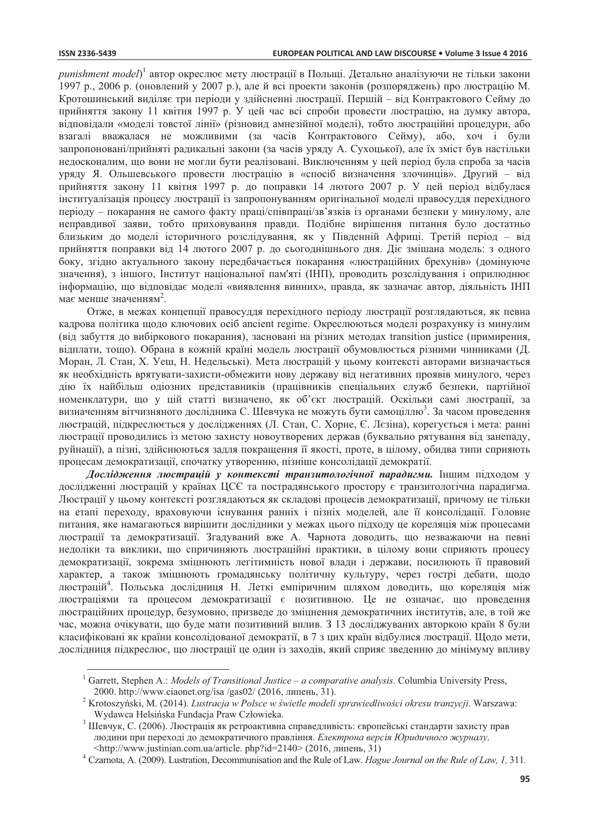*punishment model*)<sup>1</sup> автор окреслює мету люстрації в Польші. Детально аналізуючи не тільки закони 1997 р., 2006 р. (оновлений у 2007 р.), але й всі проекти законів (розпоряджень) про люстрацію М. Кротошинський виділяє три періоди у здійсненні люстрації. Першій – від Контрактового Сейму до прийняття закону 11 квітня 1997 р. У цей час всі спроби провести люстрацію, на думку автора, відповідали «моделі товстої лінії» (різновид амнезійної моделі), тобто люстраційні процедури, або взагалі вважалася не можливими (за часів Контрактового Сейму), або, хоч і були запропоновані/прийняті радикальні закони (за часів уряду А. Сухоцької), але їх зміст був настільки недосконалим, що вони не могли бути реалізовані. Виключенням у цей період була спроба за часів уряду Я. Ольшевського провести люстрацію в «спосіб визначення злочинців». Другий - від прийняття закону 11 квітня 1997 р. до поправки 14 лютого 2007 р. У цей період відбулася інституалізація процесу люстрації із запропонуванням оригінальної моделі правосуддя перехідного періоду – покарання не самого факту праці/співпраці/зв'язків із органами безпеки у минулому, але неправдивої заяви, тобто приховування правди. Подібне вирішення питання було достатньо близьким до моделі історичного розслідування, як у Південній Африці. Третій період - від прийняття поправки від 14 лютого 2007 р. до сьогоднішнього дня. Діє змішана модель: з одного боку, згідно актуального закону передбачається покарання «люстраційних брехунів» (домінуюче значення), з іншого, Інститут національної пам'яті (ІНП), проводить розслідування і оприлюднює інформацію, що відповідає моделі «виявлення винних», правда, як зазначає автор, діяльність ІНП має менше значенням<sup>2</sup>.

Отже, в межах концепції правосуддя перехідного періоду люстрації розглядаються, як певна кадрова політика щодо ключових осіб ancient regime. Окреслюються моделі розрахунку із минулим (від забуття до вибіркового покарання), засновані на різних методах transition justice (примирення, відплати, тощо). Обрана в кожній країні модель люстрації обумовлюється різними чинниками (Д. Моран, Л. Стан, Х. Уеш, Н. Недельські). Мета люстрацій у цьому контексті авторами визначається як необхідність врятувати-захисти-обмежити нову державу від негативних проявів минулого, через дію їх найбільш одіозних представників (працівників спеціальних служб безпеки, партійної номенклатури, що у цій статті визначено, як об'єкт люстрацій. Оскільки самі люстрації, за визначенням вітчизняного дослідника С. Шевчука не можуть бути самоціллю<sup>3</sup>. За часом проведення люстрацій, підкреслюється у дослідженнях (Л. Стан, С. Хорне, Є. Лєзіна), корегується і мета: ранні люстрації проводились із метою захисту новоутворених держав (буквально рятування від занепаду, руйнації), а пізні, здійснюються задля покращення її якості, проте, в цілому, обидва типи сприяють процесам демократизації, спочатку утворенню, пізніше консолідації демократії.

Дослідження люстрацій у контексті транзитологічної парадигми. Іншим підходом у дослідженні люстрацій у країнах ЦСЄ та пострадянського простору є транзитологічна парадигма. Люстрації у цьому контексті розглядаються як складові процесів демократизації, причому не тільки на етапі переходу, враховуючи існування ранніх і пізніх моделей, але її консолідації. Головне питання, яке намагаються вирішити дослідники у межах цього підходу це кореляція між процесами люстрації та демократизації. Згадуваний вже А. Чарнота доводить, що незважаючи на певні нелоліки та виклики, що спричиняють люстраційні практики, в цілому вони сприяють процесу демократизації, зокрема зміцнюють легітимність нової влади і держави, посилюють її правовий характер, а також зміцнюють громадянську політичну культуру, через гострі дебати, щодо люстрацій<sup>4</sup>. Польська дослідниця Н. Леткі емпіричним шляхом доводить, що кореляція між люстраціями та процесом демократизації є позитивною. Це не означає, що проведення люстраційних процедур, безумовно, призведе до зміцнення демократичних інститутів, але, в той же час, можна очікувати, що буде мати позитивний вплив. З 13 досліджуваних авторкою країн 8 були класифіковані як країни консолідованої демократії, в 7 з цих країн відбулися люстрації. Щодо мети, дослідниця підкреслює, що люстрації це один із заходів, який сприяє зведенню до мінімуму впливу

<sup>&</sup>lt;sup>1</sup> Garrett, Stephen A.: Models of Transitional Justice - a comparative analysis. Columbia University Press, 2000. http://www.ciaonet.org/isa/gas02/(2016, липень, 31).

Krotoszyński, M. (2014). Lustracja w Polsce w świetle modeli sprawiedliwości okresu tranzycji. Warszawa: Wydawca Helsińska Fundacja Praw Człowieka.

<sup>3</sup> Шевчук, С. (2006). Люстрація як ретроактивна справедливість: європейські стандарти захисту прав людини при переході до демократичного правління. Електрона версія Юридичного журналу. <http://www.justinian.com.ua/article.php?id=2140>(2016, липень, 31)

Czarnota, A. (2009). Lustration, Decommunisation and the Rule of Law. Hague Journal on the Rule of Law, 1, 311.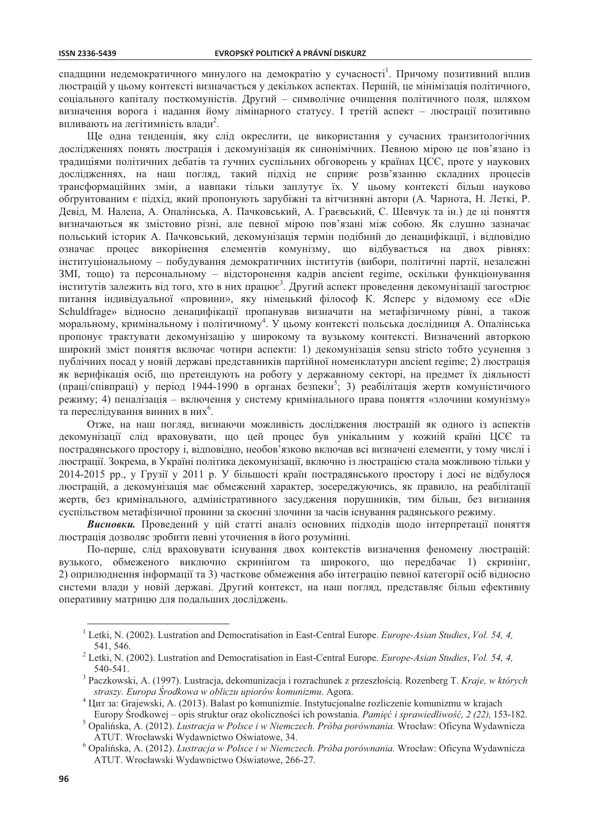спадщини недемократичного минулого на демократію у сучасності<sup>1</sup>. Причому позитивний вплив люстрацій у цьому контексті визначається у декількох аспектах. Першій, це мінімізація політичного, соціального капіталу посткомуністів. Другий - символічне очищення політичного поля, шляхом визначення ворога і надання йому лімінарного статусу. І третій аспект - люстрації позитивно впливають на легітимність влади<sup>2</sup>.

Ще одна тенденція, яку слід окреслити, це використання у сучасних транзитологічних дослідженнях понять люстрація і декомунізація як синонімічних. Певною мірою це пов'язано із традиціями політичних дебатів та гучних суспільних обговорень у країнах ЦСЄ, проте у наукових дослідженнях, на наш погляд, такий підхід не сприяє розв'язанню складних процесів трансформаційних змін, а навпаки тільки заплутує їх. У цьому контексті більш науково обгрунтованим є підхід, який пропонують зарубіжні та вітчизняні автори (А. Чарнота, Н. Леткі, Р. Девід, М. Налепа, А. Опалінська, А. Пачковський, А. Граєвський, С. Шевчук та ін.) де ці поняття визначаються як змістовно різні, але певної мірою пов'язані між собою. Як слушно зазначає польський історик А. Пачковський, декомунізація термін подібний до денацифікації, і відповідно означає процес викорінення елементів комунізму, що відбувається на двох рівнях: інституціональному - побудування демократичних інститутів (вибори, політичні партії, незалежні ЗМІ, тощо) та персональному - відсторонення кадрів ancient regime, оскільки функціонування інститутів залежить від того, хто в них працює<sup>3</sup>. Другий аспект проведення декомунізації загострює питання індивідуальної «провини», яку німецький філософ К. Ясперс у відомому есе «Die Schuldfrage» відносно денацифікації пропанував визначати на метафізичному рівні, а також моральному, кримінальному і політичному<sup>4</sup>. У цьому контексті польська дослідниця А. Опалінська пропонує трактувати декомунізацію у широкому та вузькому контексті. Визначений авторкою широкий зміст поняття включає чотири аспекти: 1) декомунізація sensu stricto тобто усунення з публічних посад у новій державі представників партійної номенклатури ancient regime; 2) люстрація як верифікація осіб, що претендують на роботу у державному секторі, на предмет їх діяльності (праці/співпраці) у період 1944-1990 в органах безпеки<sup>5</sup>; 3) реабілітація жертв комуністичного режиму; 4) пеналізація – включення у систему кримінального права поняття «злочини комунізму» та переслідування винних в них<sup>6</sup>.

Отже, на наш погляд, визнаючи можливість дослідження люстрацій як одного із аспектів декомунізації слід враховувати, що цей процес був унікальним у кожній країні ЦСЄ та пострадянського простору і, відповідно, необов'язково включав всі визначені елементи, у тому числі і люстрації. Зокрема, в Україні політика декомунізації, включно із люстрацією стала можливою тільки у 2014-2015 рр., у Грузії у 2011 р. У більшості країн пострадянського простору і досі не відбулося люстрацій, а декомунізація має обмежений характер, зосереджуючись, як правило, на реабілітації жертв, без кримінального, адміністративного засудження порушників, тим більш, без визнання суспільством метафізичної провини за скоєнні злочини за часів існування радянського режиму.

Висновки. Проведений у цій статті аналіз основних підходів щодо інтерпретації поняття люстрація дозволяє зробити певні уточнення в його розумінні.

По-перше, слід враховувати існування двох контекстів визначення феномену люстрацій: вузького, обмеженого виключно скринінгом та широкого, що передбачає 1) скринінг, 2) оприлюднення інформації та 3) часткове обмеження або інтеграцію певної категорії осіб відносно системи влади у новій державі. Другий контекст, на наш погляд, представляє більш ефективну оперативну матрицю для подальших досліджень.

Europy Środkowej – opis struktur oraz okoliczności ich powstania. Pamięć i sprawiedliwość, 2 (22), 153-182.

<sup>&</sup>lt;sup>1</sup> Letki, N. (2002). Lustration and Democratisation in East-Central Europe. *Europe-Asian Studies*, *Vol.* 54, 4, 541, 546.

Letki, N. (2002). Lustration and Democratisation in East-Central Europe. Europe-Asian Studies, Vol. 54, 4,  $540 - 541$ .

<sup>&</sup>lt;sup>3</sup> Paczkowski, A. (1997). Lustracja, dekomunizacja i rozrachunek z przeszłością. Rozenberg T. Kraje, w których straszy. Europa Środkowa w obliczu upiorów komunizmu. Agora.

Цит за: Grajewski, A. (2013). Balast po komunizmie. Instytucjonalne rozliczenie komunizmu w krajach

Opalińska, A. (2012). Lustracja w Polsce i w Niemczech. Próba porównania. Wrocław: Oficyna Wydawnicza ATUT. Wrocławski Wydawnictwo Oświatowe, 34.

<sup>&</sup>lt;sup>6</sup> Opalińska, A. (2012). Lustracja w Polsce i w Niemczech. Próba porównania. Wrocław: Oficyna Wydawnicza ATUT. Wrocławski Wydawnictwo Oświatowe, 266-27.